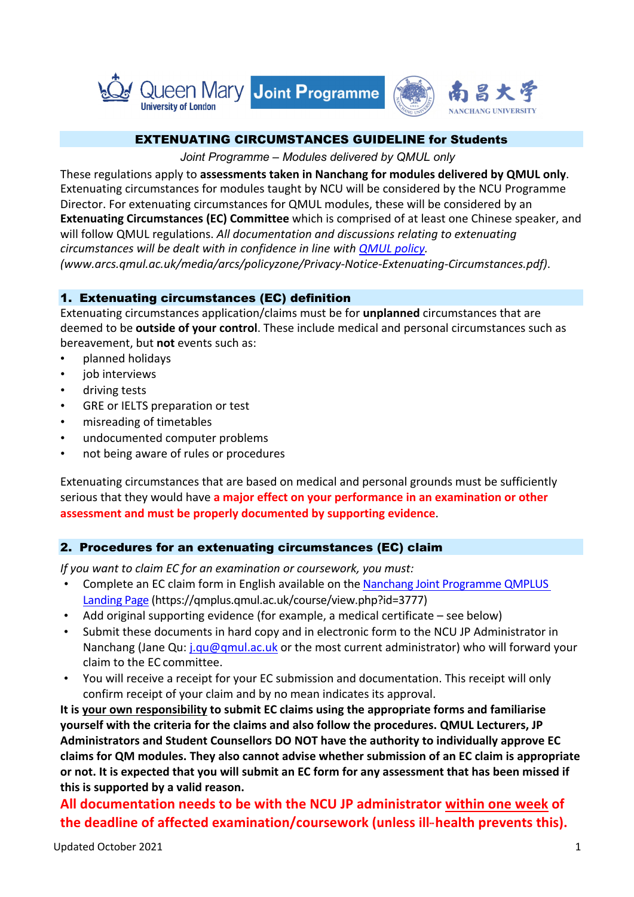

### EXTENUATING CIRCUMSTANCES GUIDELINE for Students

*Joint Programme – Modules delivered by QMUL only*

These regulations apply to **assessments taken in Nanchang for modules delivered by QMUL only**. Extenuating circumstances for modules taught by NCU will be considered by the NCU Programme Director. For extenuating circumstances for QMUL modules, these will be considered by an **Extenuating Circumstances (EC) Committee** which is comprised of at least one Chinese speaker, and will follow QMUL regulations. *All documentation and discussions relating to extenuating circumstances will be dealt with in confidence in line with QMUL policy. (www.arcs.qmul.ac.uk/media/arcs/policyzone/Privacy-Notice-Extenuating-Circumstances.pdf)*.

## 1. Extenuating circumstances (EC) definition

Extenuating circumstances application/claims must be for **unplanned** circumstances that are deemed to be **outside of your control**. These include medical and personal circumstances such as bereavement, but **not** events such as:

- planned holidays
- job interviews
- driving tests
- GRE or IELTS preparation or test
- misreading of timetables
- undocumented computer problems
- not being aware of rules or procedures

Extenuating circumstances that are based on medical and personal grounds must be sufficiently serious that they would have **a major effect on your performance in an examination or other assessment and must be properly documented by supporting evidence**.

# 2. Procedures for an extenuating circumstances (EC) claim

*If you want to claim EC for an examination or coursework, you must:*

- Complete an EC claim form in English available on the Nanchang Joint Programme QMPLUS Landing Page (https://qmplus.qmul.ac.uk/course/view.php?id=3777)
- Add original supporting evidence (for example, a medical certificate see below)
- Submit these documents in hard copy and in electronic form to the NCU JP Administrator in Nanchang (Jane Qu: j.qu@qmul.ac.uk or the most current administrator) who will forward your claim to the EC committee.
- You will receive a receipt for your EC submission and documentation. This receipt will only confirm receipt of your claim and by no mean indicates its approval.

**It is your own responsibility to submit EC claims using the appropriate forms and familiarise yourself with the criteria for the claims and also follow the procedures. QMUL Lecturers, JP Administrators and Student Counsellors DO NOT have the authority to individually approve EC claims for QM modules. They also cannot advise whether submission of an EC claim is appropriate or not. It is expected that you will submit an EC form for any assessment that has been missed if this is supported by a valid reason.**

**All documentation needs to be with the NCU JP administrator within one week of**  the deadline of affected examination/coursework (unless ill-health prevents this).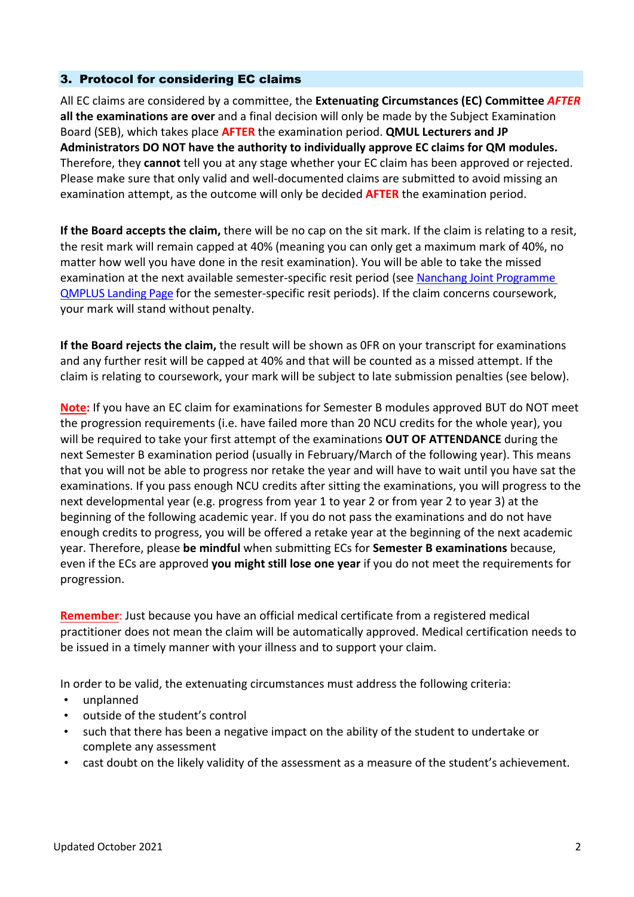### 3. Protocol for considering EC claims

All EC claims are considered by a committee, the **Extenuating Circumstances (EC) Committee** *AFTER* **all the examinations are over** and a final decision will only be made by the Subject Examination Board (SEB), which takes place **AFTER** the examination period. **QMUL Lecturers and JP Administrators DO NOT have the authority to individually approve EC claims for QM modules.** Therefore, they **cannot** tell you at any stage whether your EC claim has been approved or rejected. Please make sure that only valid and well-documented claims are submitted to avoid missing an examination attempt, as the outcome will only be decided **AFTER** the examination period.

**If the Board accepts the claim,** there will be no cap on the sit mark. If the claim is relating to a resit, the resit mark will remain capped at 40% (meaning you can only get a maximum mark of 40%, no matter how well you have done in the resit examination). You will be able to take the missed examination at the next available semester-specific resit period (see Nanchang Joint Programme QMPLUS Landing Page for the semester-specific resit periods). If the claim concerns coursework, your mark will stand without penalty.

**If the Board rejects the claim,** the result will be shown as 0FR on your transcript for examinations and any further resit will be capped at 40% and that will be counted as a missed attempt. If the claim is relating to coursework, your mark will be subject to late submission penalties (see below).

**Note:** If you have an EC claim for examinations for Semester B modules approved BUT do NOT meet the progression requirements (i.e. have failed more than 20 NCU credits for the whole year), you will be required to take your first attempt of the examinations **OUT OF ATTENDANCE** during the next Semester B examination period (usually in February/March of the following year). This means that you will not be able to progress nor retake the year and will have to wait until you have sat the examinations. If you pass enough NCU credits after sitting the examinations, you will progress to the next developmental year (e.g. progress from year 1 to year 2 or from year 2 to year 3) at the beginning of the following academic year. If you do not pass the examinations and do not have enough credits to progress, you will be offered a retake year at the beginning of the next academic year. Therefore, please **be mindful** when submitting ECs for **Semester B examinations** because, even if the ECs are approved **you might still lose one year** if you do not meet the requirements for progression.

**Remember**: Just because you have an official medical certificate from a registered medical practitioner does not mean the claim will be automatically approved. Medical certification needs to be issued in a timely manner with your illness and to support your claim.

In order to be valid, the extenuating circumstances must address the following criteria:

- unplanned
- outside of the student's control
- such that there has been a negative impact on the ability of the student to undertake or complete any assessment
- cast doubt on the likely validity of the assessment as a measure of the student's achievement.